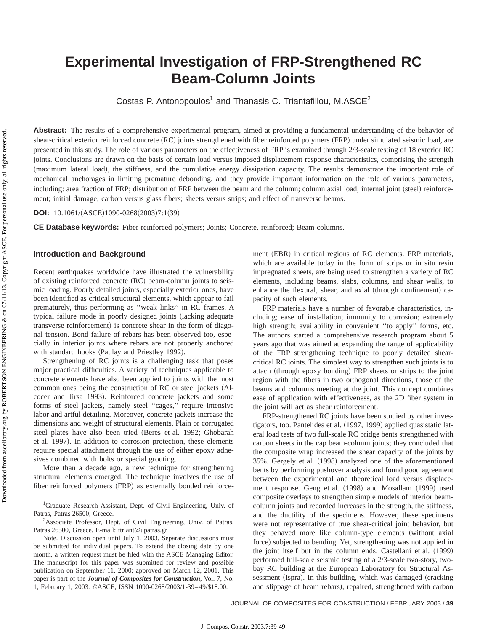# **Experimental Investigation of FRP-Strengthened RC Beam-Column Joints**

Costas P. Antonopoulos<sup>1</sup> and Thanasis C. Triantafillou, M.ASCE<sup>2</sup>

Abstract: The results of a comprehensive experimental program, aimed at providing a fundamental understanding of the behavior of shear-critical exterior reinforced concrete (RC) joints strengthened with fiber reinforced polymers (FRP) under simulated seismic load, are presented in this study. The role of various parameters on the effectiveness of FRP is examined through 2/3-scale testing of 18 exterior RC joints. Conclusions are drawn on the basis of certain load versus imposed displacement response characteristics, comprising the strength (maximum lateral load), the stiffness, and the cumulative energy dissipation capacity. The results demonstrate the important role of mechanical anchorages in limiting premature debonding, and they provide important information on the role of various parameters, including: area fraction of FRP; distribution of FRP between the beam and the column; column axial load; internal joint (steel) reinforcement; initial damage; carbon versus glass fibers; sheets versus strips; and effect of transverse beams.

**DOI:** 10.1061/(ASCE)1090-0268(2003)7:1(39)

**CE Database keywords:** Fiber reinforced polymers; Joints; Concrete, reinforced; Beam columns.

### **Introduction and Background**

Recent earthquakes worldwide have illustrated the vulnerability of existing reinforced concrete (RC) beam-column joints to seismic loading. Poorly detailed joints, especially exterior ones, have been identified as critical structural elements, which appear to fail prematurely, thus performing as ''weak links'' in RC frames. A typical failure mode in poorly designed joints (lacking adequate transverse reinforcement) is concrete shear in the form of diagonal tension. Bond failure of rebars has been observed too, especially in interior joints where rebars are not properly anchored with standard hooks (Paulay and Priestley 1992).

Strengthening of RC joints is a challenging task that poses major practical difficulties. A variety of techniques applicable to concrete elements have also been applied to joints with the most common ones being the construction of RC or steel jackets (Alcocer and Jirsa 1993). Reinforced concrete jackets and some forms of steel jackets, namely steel ''cages,'' require intensive labor and artful detailing. Moreover, concrete jackets increase the dimensions and weight of structural elements. Plain or corrugated steel plates have also been tried (Beres et al. 1992; Ghobarah et al. 1997). In addition to corrosion protection, these elements require special attachment through the use of either epoxy adhesives combined with bolts or special grouting.

More than a decade ago, a new technique for strengthening structural elements emerged. The technique involves the use of fiber reinforced polymers (FRP) as externally bonded reinforce-

<sup>2</sup>Associate Professor, Dept. of Civil Engineering, Univ. of Patras, Patras 26500, Greece. E-mail: ttriant@upatras.gr

Note. Discussion open until July 1, 2003. Separate discussions must be submitted for individual papers. To extend the closing date by one month, a written request must be filed with the ASCE Managing Editor. The manuscript for this paper was submitted for review and possible publication on September 11, 2000; approved on March 12, 2001. This paper is part of the *Journal of Composites for Construction*, Vol. 7, No. 1, February 1, 2003. ©ASCE, ISSN 1090-0268/2003/1-39–49/\$18.00.

ment (EBR) in critical regions of RC elements. FRP materials, which are available today in the form of strips or in situ resin impregnated sheets, are being used to strengthen a variety of RC elements, including beams, slabs, columns, and shear walls, to enhance the flexural, shear, and axial (through confinement) capacity of such elements.

FRP materials have a number of favorable characteristics, including; ease of installation; immunity to corrosion; extremely high strength; availability in convenient ''to apply'' forms, etc. The authors started a comprehensive research program about 5 years ago that was aimed at expanding the range of applicability of the FRP strengthening technique to poorly detailed shearcritical RC joints. The simplest way to strengthen such joints is to attach (through epoxy bonding) FRP sheets or strips to the joint region with the fibers in two orthogonal directions, those of the beams and columns meeting at the joint. This concept combines ease of application with effectiveness, as the 2D fiber system in the joint will act as shear reinforcement.

FRP-strengthened RC joints have been studied by other investigators, too. Pantelides et al. (1997, 1999) applied quasistatic lateral load tests of two full-scale RC bridge bents strengthened with carbon sheets in the cap beam-column joints; they concluded that the composite wrap increased the shear capacity of the joints by 35%. Gergely et al. (1998) analyzed one of the aforementioned bents by performing pushover analysis and found good agreement between the experimental and theoretical load versus displacement response. Geng et al.  $(1998)$  and Mosallam  $(1999)$  used composite overlays to strengthen simple models of interior beamcolumn joints and recorded increases in the strength, the stiffness, and the ductility of the specimens. However, these specimens were not representative of true shear-critical joint behavior, but they behaved more like column-type elements (without axial force) subjected to bending. Yet, strengthening was not applied in the joint itself but in the column ends. Castellani et al.  $(1999)$ performed full-scale seismic testing of a 2/3-scale two-story, twobay RC building at the European Laboratory for Structural Assessment (Ispra). In this building, which was damaged (cracking and slippage of beam rebars), repaired, strengthened with carbon

JOURNAL OF COMPOSITES FOR CONSTRUCTION / FEBRUARY 2003 / **39**

<sup>&</sup>lt;sup>1</sup>Graduate Research Assistant, Dept. of Civil Engineering, Univ. of Patras, Patras 26500, Greece.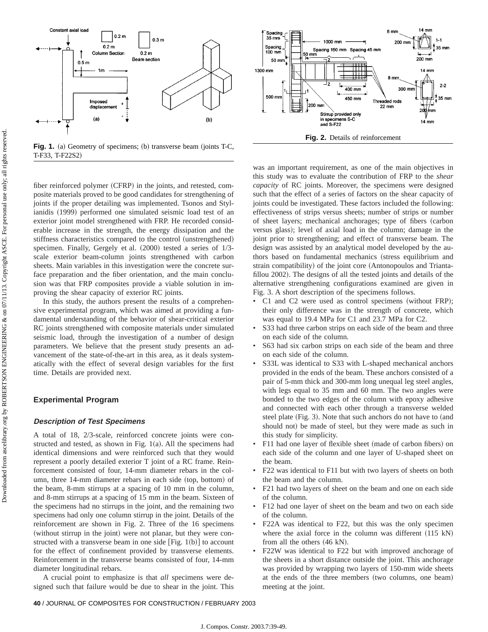



fiber reinforced polymer (CFRP) in the joints, and retested, composite materials proved to be good candidates for strengthening of joints if the proper detailing was implemented. Tsonos and Stylianidis (1999) performed one simulated seismic load test of an exterior joint model strengthened with FRP. He recorded considerable increase in the strength, the energy dissipation and the stiffness characteristics compared to the control (unstrengthened) specimen. Finally, Gergely et al.  $(2000)$  tested a series of  $1/3$ scale exterior beam-column joints strengthened with carbon sheets. Main variables in this investigation were the concrete surface preparation and the fiber orientation, and the main conclusion was that FRP composites provide a viable solution in improving the shear capacity of exterior RC joints.

In this study, the authors present the results of a comprehensive experimental program, which was aimed at providing a fundamental understanding of the behavior of shear-critical exterior RC joints strengthened with composite materials under simulated seismic load, through the investigation of a number of design parameters. We believe that the present study presents an advancement of the state-of-the-art in this area, as it deals systematically with the effect of several design variables for the first time. Details are provided next.

#### **Experimental Program**

#### **Description of Test Specimens**

A total of 18, 2/3-scale, reinforced concrete joints were constructed and tested, as shown in Fig.  $1(a)$ . All the specimens had identical dimensions and were reinforced such that they would represent a poorly detailed exterior T joint of a RC frame. Reinforcement consisted of four, 14-mm diameter rebars in the column, three 14-mm diameter rebars in each side (top, bottom) of the beam, 8-mm stirrups at a spacing of 10 mm in the column, and 8-mm stirrups at a spacing of 15 mm in the beam. Sixteen of the specimens had no stirrups in the joint, and the remaining two specimens had only one column stirrup in the joint. Details of the reinforcement are shown in Fig. 2. Three of the 16 specimens (without stirrup in the joint) were not planar, but they were constructed with a transverse beam in one side  $[Fig. 1(b)]$  to account for the effect of confinement provided by transverse elements. Reinforcement in the transverse beams consisted of four, 14-mm diameter longitudinal rebars.

A crucial point to emphasize is that *all* specimens were designed such that failure would be due to shear in the joint. This



was an important requirement, as one of the main objectives in this study was to evaluate the contribution of FRP to the *shear capacity* of RC joints. Moreover, the specimens were designed such that the effect of a series of factors on the shear capacity of joints could be investigated. These factors included the following: effectiveness of strips versus sheets; number of strips or number of sheet layers; mechanical anchorages; type of fibers (carbon versus glass); level of axial load in the column; damage in the joint prior to strengthening; and effect of transverse beam. The design was assisted by an analytical model developed by the authors based on fundamental mechanics (stress equilibrium and strain compatibility) of the joint core (Antonopoulos and Triantafillou 2002). The designs of all the tested joints and details of the alternative strengthening configurations examined are given in Fig. 3. A short description of the specimens follows.

- $C1$  and  $C2$  were used as control specimens (without FRP); their only difference was in the strength of concrete, which was equal to 19.4 MPa for C1 and 23.7 MPa for C2.
- S33 had three carbon strips on each side of the beam and three on each side of the column.
- S63 had six carbon strips on each side of the beam and three on each side of the column.
- S33L was identical to S33 with L-shaped mechanical anchors provided in the ends of the beam. These anchors consisted of a pair of 5-mm thick and 300-mm long unequal leg steel angles, with legs equal to 35 mm and 60 mm. The two angles were bonded to the two edges of the column with epoxy adhesive and connected with each other through a transverse welded steel plate (Fig. 3). Note that such anchors do not have to (and should not) be made of steel, but they were made as such in this study for simplicity.
- F11 had one layer of flexible sheet (made of carbon fibers) on each side of the column and one layer of U-shaped sheet on the beam.
- F22 was identical to F11 but with two layers of sheets on both the beam and the column.
- F21 had two layers of sheet on the beam and one on each side of the column.
- F12 had one layer of sheet on the beam and two on each side of the column.
- F22A was identical to F22, but this was the only specimen where the axial force in the column was different  $(115 \text{ kN})$ from all the others  $(46 \text{ kN})$ .
- F22W was identical to F22 but with improved anchorage of the sheets in a short distance outside the joint. This anchorage was provided by wrapping two layers of 150-mm wide sheets at the ends of the three members (two columns, one beam) meeting at the joint.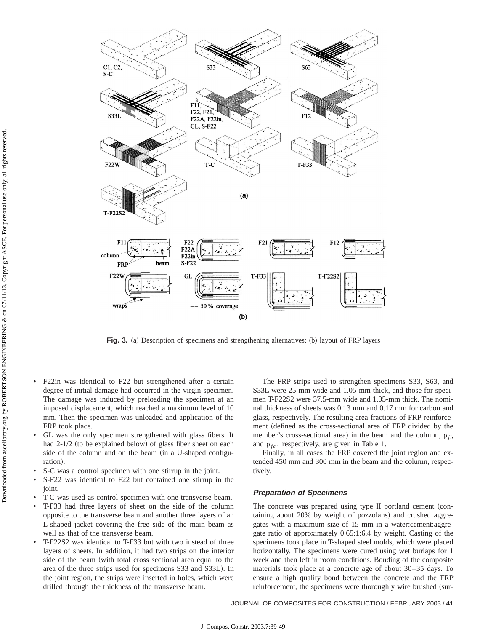

**Fig. 3.** (a) Description of specimens and strengthening alternatives; (b) layout of FRP layers

- F22in was identical to F22 but strengthened after a certain degree of initial damage had occurred in the virgin specimen. The damage was induced by preloading the specimen at an imposed displacement, which reached a maximum level of 10 mm. Then the specimen was unloaded and application of the FRP took place.
- GL was the only specimen strengthened with glass fibers. It had  $2-1/2$  (to be explained below) of glass fiber sheet on each side of the column and on the beam (in a U-shaped configuration).
- S-C was a control specimen with one stirrup in the joint.
- S-F22 was identical to F22 but contained one stirrup in the joint.
- T-C was used as control specimen with one transverse beam.
- T-F33 had three layers of sheet on the side of the column opposite to the transverse beam and another three layers of an L-shaped jacket covering the free side of the main beam as well as that of the transverse beam.
- T-F22S2 was identical to T-F33 but with two instead of three layers of sheets. In addition, it had two strips on the interior side of the beam (with total cross sectional area equal to the area of the three strips used for specimens S33 and S33L). In the joint region, the strips were inserted in holes, which were drilled through the thickness of the transverse beam.

The FRP strips used to strengthen specimens S33, S63, and S33L were 25-mm wide and 1.05-mm thick, and those for specimen T-F22S2 were 37.5-mm wide and 1.05-mm thick. The nominal thickness of sheets was 0.13 mm and 0.17 mm for carbon and glass, respectively. The resulting area fractions of FRP reinforcement (defined as the cross-sectional area of FRP divided by the member's cross-sectional area) in the beam and the column,  $\rho_{fb}$ and  $\rho_{fc}$ , respectively, are given in Table 1.

Finally, in all cases the FRP covered the joint region and extended 450 mm and 300 mm in the beam and the column, respectively.

# **Preparation of Specimens**

The concrete was prepared using type II portland cement (containing about 20% by weight of pozzolans) and crushed aggregates with a maximum size of 15 mm in a water:cement:aggregate ratio of approximately 0.65:1:6.4 by weight. Casting of the specimens took place in T-shaped steel molds, which were placed horizontally. The specimens were cured using wet burlaps for 1 week and then left in room conditions. Bonding of the composite materials took place at a concrete age of about 30–35 days. To ensure a high quality bond between the concrete and the FRP reinforcement, the specimens were thoroughly wire brushed (sur-

JOURNAL OF COMPOSITES FOR CONSTRUCTION / FEBRUARY 2003 / **41**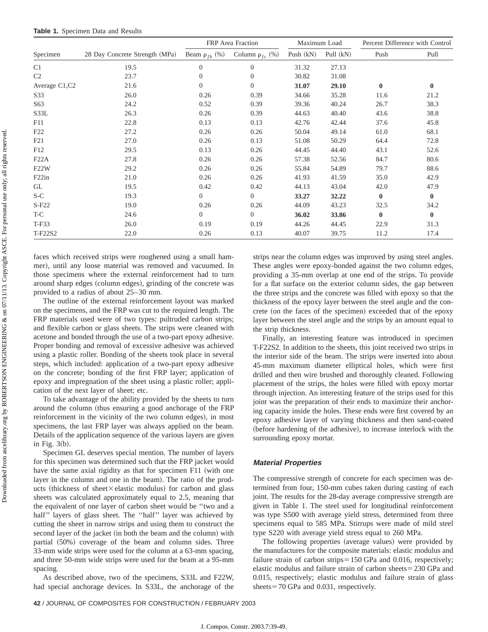|                    |                                |                      | FRP Area Fraction      |             | Maximum Load | Percent Difference with Control |          |
|--------------------|--------------------------------|----------------------|------------------------|-------------|--------------|---------------------------------|----------|
| Specimen           | 28 Day Concrete Strength (MPa) | Beam $\rho_{fb}$ (%) | Column $\rho_{fc}$ (%) | Push $(kN)$ | Pull (kN)    | Push                            | Pull     |
| C1                 | 19.5                           | $\mathbf{0}$         | $\overline{0}$         | 31.32       | 27.13        |                                 |          |
| C <sub>2</sub>     | 23.7                           | $\mathbf{0}$         | $\overline{0}$         | 30.82       | 31.08        |                                 |          |
| Average C1,C2      | 21.6                           | $\overline{0}$       | $\overline{0}$         | 31.07       | 29.10        | $\bf{0}$                        | $\bf{0}$ |
| S33                | 26.0                           | 0.26                 | 0.39                   | 34.66       | 35.28        | 11.6                            | 21.2     |
| S63                | 24.2                           | 0.52                 | 0.39                   | 39.36       | 40.24        | 26.7                            | 38.3     |
| S33L               | 26.3                           | 0.26                 | 0.39                   | 44.63       | 40.40        | 43.6                            | 38.8     |
| F11                | 22.8                           | 0.13                 | 0.13                   | 42.76       | 42.44        | 37.6                            | 45.8     |
| F22                | 27.2                           | 0.26                 | 0.26                   | 50.04       | 49.14        | 61.0                            | 68.1     |
| F21                | 27.0                           | 0.26                 | 0.13                   | 51.08       | 50.29        | 64.4                            | 72.8     |
| F12                | 29.5                           | 0.13                 | 0.26                   | 44.45       | 44.40        | 43.1                            | 52.6     |
| F22A               | 27.8                           | 0.26                 | 0.26                   | 57.38       | 52.56        | 84.7                            | 80.6     |
| F <sub>22</sub> W  | 29.2                           | 0.26                 | 0.26                   | 55.84       | 54.89        | 79.7                            | 88.6     |
| F <sub>22</sub> in | 21.0                           | 0.26                 | 0.26                   | 41.93       | 41.59        | 35.0                            | 42.9     |
| GL                 | 19.5                           | 0.42                 | 0.42                   | 44.13       | 43.04        | 42.0                            | 47.9     |
| $S-C$              | 19.3                           | $\overline{0}$       | $\overline{0}$         | 33.27       | 32.22        | $\bf{0}$                        | $\bf{0}$ |
| $S-F22$            | 19.0                           | 0.26                 | 0.26                   | 44.09       | 43.23        | 32.5                            | 34.2     |
| T-C                | 24.6                           | $\overline{0}$       | $\overline{0}$         | 36.02       | 33.86        | $\bf{0}$                        | $\bf{0}$ |
| T-F33              | 26.0                           | 0.19                 | 0.19                   | 44.26       | 44.45        | 22.9                            | 31.3     |
| T-F22S2            | 22.0                           | 0.26                 | 0.13                   | 40.07       | 39.75        | 11.2                            | 17.4     |

faces which received strips were roughened using a small hammer), until any loose material was removed and vacuumed. In those specimens where the external reinforcement had to turn around sharp edges (column edges), grinding of the concrete was provided to a radius of about 25–30 mm.

The outline of the external reinforcement layout was marked on the specimens, and the FRP was cut to the required length. The FRP materials used were of two types: pultruded carbon strips; and flexible carbon or glass sheets. The strips were cleaned with acetone and bonded through the use of a two-part epoxy adhesive. Proper bonding and removal of excessive adhesive was achieved using a plastic roller. Bonding of the sheets took place in several steps, which included: application of a two-part epoxy adhesive on the concrete; bonding of the first FRP layer; application of epoxy and impregnation of the sheet using a plastic roller; application of the next layer of sheet; etc.

To take advantage of the ability provided by the sheets to turn around the column (thus ensuring a good anchorage of the FRP reinforcement in the vicinity of the two column edges), in most specimens, the last FRP layer was always applied on the beam. Details of the application sequence of the various layers are given in Fig.  $3(b)$ .

Specimen GL deserves special mention. The number of layers for this specimen was determined such that the FRP jacket would have the same axial rigidity as that for specimen F11 (with one layer in the column and one in the beam). The ratio of the products (thickness of sheet $\times$ elastic modulus) for carbon and glass sheets was calculated approximately equal to 2.5, meaning that the equivalent of one layer of carbon sheet would be ''two and a half'' layers of glass sheet. The ''half'' layer was achieved by cutting the sheet in narrow strips and using them to construct the second layer of the jacket (in both the beam and the column) with partial  $(50%)$  coverage of the beam and column sides. Three 33-mm wide strips were used for the column at a 63-mm spacing, and three 50-mm wide strips were used for the beam at a 95-mm spacing.

As described above, two of the specimens, S33L and F22W, had special anchorage devices. In S33L, the anchorage of the

strips near the column edges was improved by using steel angles. These angles were epoxy-bonded against the two column edges, providing a 35-mm overlap at one end of the strips. To provide for a flat surface on the exterior column sides, the gap between the three strips and the concrete was filled with epoxy so that the thickness of the epoxy layer between the steel angle and the concrete (on the faces of the specimen) exceeded that of the epoxy layer between the steel angle and the strips by an amount equal to the strip thickness.

Finally, an interesting feature was introduced in specimen T-F22S2. In addition to the sheets, this joint received two strips in the interior side of the beam. The strips were inserted into about 45-mm maximum diameter elliptical holes, which were first drilled and then wire brushed and thoroughly cleaned. Following placement of the strips, the holes were filled with epoxy mortar through injection. An interesting feature of the strips used for this joint was the preparation of their ends to maximize their anchoring capacity inside the holes. These ends were first covered by an epoxy adhesive layer of varying thickness and then sand-coated (before hardening of the adhesive), to increase interlock with the surrounding epoxy mortar.

#### **Material Properties**

The compressive strength of concrete for each specimen was determined from four, 150-mm cubes taken during casting of each joint. The results for the 28-day average compressive strength are given in Table 1. The steel used for longitudinal reinforcement was type S500 with average yield stress, determined from three specimens equal to 585 MPa. Stirrups were made of mild steel type S220 with average yield stress equal to 260 MPa.

The following properties (average values) were provided by the manufactures for the composite materials: elastic modulus and failure strain of carbon strips $=150$  GPa and 0.016, respectively; elastic modulus and failure strain of carbon sheets $=$  230 GPa and 0.015, respectively; elastic modulus and failure strain of glass sheets =  $70$  GPa and 0.031, respectively.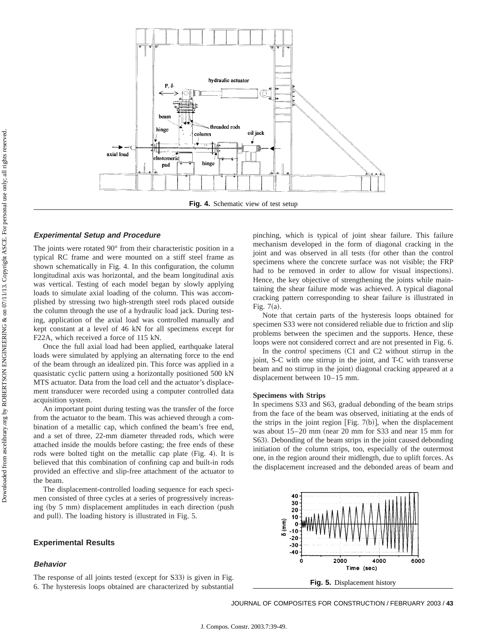

#### **Experimental Setup and Procedure**

The joints were rotated 90° from their characteristic position in a typical RC frame and were mounted on a stiff steel frame as shown schematically in Fig. 4. In this configuration, the column longitudinal axis was horizontal, and the beam longitudinal axis was vertical. Testing of each model began by slowly applying loads to simulate axial loading of the column. This was accomplished by stressing two high-strength steel rods placed outside the column through the use of a hydraulic load jack. During testing, application of the axial load was controlled manually and kept constant at a level of 46 kN for all specimens except for F22A, which received a force of 115 kN.

Once the full axial load had been applied, earthquake lateral loads were simulated by applying an alternating force to the end of the beam through an idealized pin. This force was applied in a quasistatic cyclic pattern using a horizontally positioned 500 kN MTS actuator. Data from the load cell and the actuator's displacement transducer were recorded using a computer controlled data acquisition system.

An important point during testing was the transfer of the force from the actuator to the beam. This was achieved through a combination of a metallic cap, which confined the beam's free end, and a set of three, 22-mm diameter threaded rods, which were attached inside the moulds before casting; the free ends of these rods were bolted tight on the metallic cap plate (Fig. 4). It is believed that this combination of confining cap and built-in rods provided an effective and slip-free attachment of the actuator to the beam.

The displacement-controlled loading sequence for each specimen consisted of three cycles at a series of progressively increasing (by  $5 \text{ mm}$ ) displacement amplitudes in each direction (push and pull). The loading history is illustrated in Fig. 5.

#### **Experimental Results**

# **Behavior**

The response of all joints tested (except for S33) is given in Fig. 6. The hysteresis loops obtained are characterized by substantial

pinching, which is typical of joint shear failure. This failure mechanism developed in the form of diagonal cracking in the joint and was observed in all tests (for other than the control specimens where the concrete surface was not visible; the FRP had to be removed in order to allow for visual inspections). Hence, the key objective of strengthening the joints while maintaining the shear failure mode was achieved. A typical diagonal cracking pattern corresponding to shear failure is illustrated in Fig.  $7(a)$ .

Note that certain parts of the hysteresis loops obtained for specimen S33 were not considered reliable due to friction and slip problems between the specimen and the supports. Hence, these loops were not considered correct and are not presented in Fig. 6.

In the *control* specimens (C1 and C2 without stirrup in the joint, S-C with one stirrup in the joint, and T-C with transverse beam and no stirrup in the joint) diagonal cracking appeared at a displacement between 10–15 mm.

#### **Specimens with Strips**

In specimens S33 and S63, gradual debonding of the beam strips from the face of the beam was observed, initiating at the ends of the strips in the joint region [Fig. 7(b)], when the displacement was about  $15-20$  mm (near 20 mm for S33 and near 15 mm for S63). Debonding of the beam strips in the joint caused debonding initiation of the column strips, too, especially of the outermost one, in the region around their midlength, due to uplift forces. As the displacement increased and the debonded areas of beam and



JOURNAL OF COMPOSITES FOR CONSTRUCTION / FEBRUARY 2003 / **43**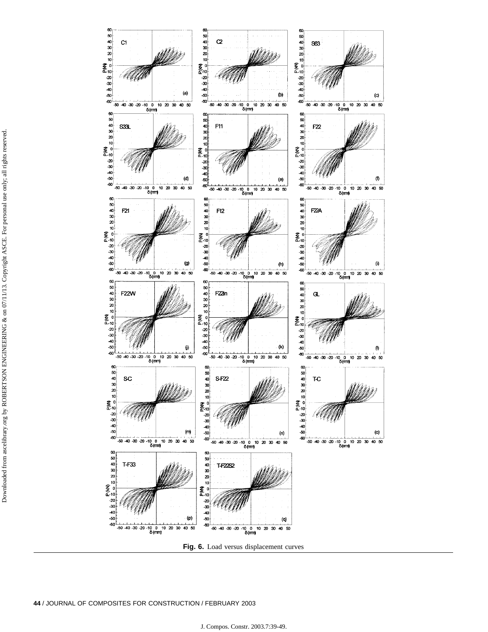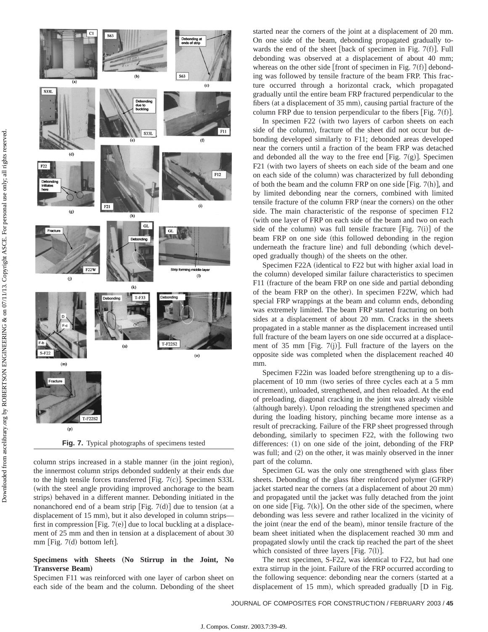

column strips increased in a stable manner (in the joint region), the innermost column strips debonded suddenly at their ends due to the high tensile forces transferred [Fig. 7(c)]. Specimen S33L (with the steel angle providing improved anchorage to the beam strips) behaved in a different manner. Debonding initiated in the nonanchored end of a beam strip [Fig. 7 $(d)$ ] due to tension (at a displacement of 15 mm), but it also developed in column strips first in compression [Fig. 7(e)] due to local buckling at a displacement of 25 mm and then in tension at a displacement of about 30  $mm$  [Fig. 7(d) bottom left].

## Specimens with Sheets (No Stirrup in the Joint, No **Transverse Beam**…

Specimen F11 was reinforced with one layer of carbon sheet on each side of the beam and the column. Debonding of the sheet

started near the corners of the joint at a displacement of 20 mm. On one side of the beam, debonding propagated gradually towards the end of the sheet [back of specimen in Fig.  $7(f)$ ]. Full debonding was observed at a displacement of about 40 mm; whereas on the other side [front of specimen in Fig. 7(f)] debonding was followed by tensile fracture of the beam FRP. This fracture occurred through a horizontal crack, which propagated gradually until the entire beam FRP fractured perpendicular to the fibers (at a displacement of  $35$  mm), causing partial fracture of the column FRP due to tension perpendicular to the fibers [Fig. 7(f)].

In specimen F22 (with two layers of carbon sheets on each side of the column), fracture of the sheet did not occur but debonding developed similarly to F11; debonded areas developed near the corners until a fraction of the beam FRP was detached and debonded all the way to the free end [Fig. 7 $(g)$ ]. Specimen F21 (with two layers of sheets on each side of the beam and one on each side of the column) was characterized by full debonding of both the beam and the column FRP on one side [Fig. 7(h)], and by limited debonding near the corners, combined with limited tensile fracture of the column FRP (near the corners) on the other side. The main characteristic of the response of specimen F12 (with one layer of FRP on each side of the beam and two on each side of the column) was full tensile fracture [Fig. 7(i)] of the beam FRP on one side (this followed debonding in the region underneath the fracture line) and full debonding (which developed gradually though) of the sheets on the other.

Specimen F22A (identical to F22 but with higher axial load in the column) developed similar failure characteristics to specimen F11 (fracture of the beam FRP on one side and partial debonding of the beam FRP on the other). In specimen F22W, which had special FRP wrappings at the beam and column ends, debonding was extremely limited. The beam FRP started fracturing on both sides at a displacement of about 20 mm. Cracks in the sheets propagated in a stable manner as the displacement increased until full fracture of the beam layers on one side occurred at a displacement of 35 mm [Fig. 7(j)]. Full fracture of the layers on the opposite side was completed when the displacement reached 40 mm.

Specimen F22in was loaded before strengthening up to a displacement of 10 mm (two series of three cycles each at a 5 mm increment), unloaded, strengthened, and then reloaded. At the end of preloading, diagonal cracking in the joint was already visible (although barely). Upon reloading the strengthened specimen and during the loading history, pinching became more intense as a result of precracking. Failure of the FRP sheet progressed through debonding, similarly to specimen F22, with the following two differences:  $(1)$  on one side of the joint, debonding of the FRP was full; and  $(2)$  on the other, it was mainly observed in the inner part of the column.

Specimen GL was the only one strengthened with glass fiber sheets. Debonding of the glass fiber reinforced polymer (GFRP) jacket started near the corners (at a displacement of about 20 mm) and propagated until the jacket was fully detached from the joint on one side [Fig.  $7(k)$ ]. On the other side of the specimen, where debonding was less severe and rather localized in the vicinity of the joint (near the end of the beam), minor tensile fracture of the beam sheet initiated when the displacement reached 30 mm and propagated slowly until the crack tip reached the part of the sheet which consisted of three layers [Fig.  $7(1)$ ].

The next specimen, S-F22, was identical to F22, but had one extra stirrup in the joint. Failure of the FRP occurred according to the following sequence: debonding near the corners (started at a displacement of 15 mm), which spreaded gradually  $[D$  in Fig.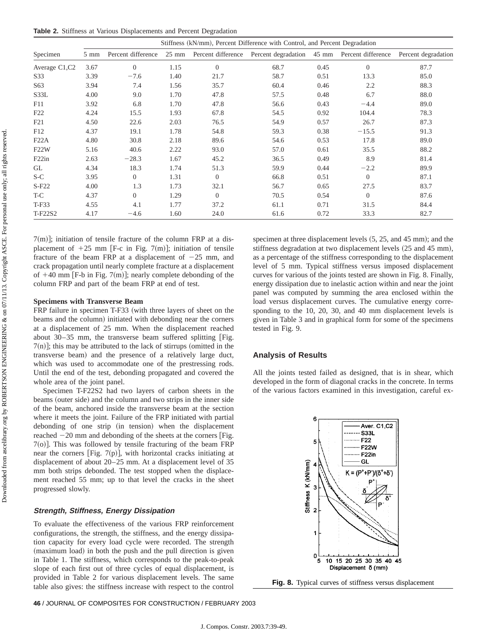**Table 2.** Stiffness at Various Displacements and Percent Degradation

|                 | Stiffness (kN/mm), Percent Difference with Control, and Percent Degradation |                    |                 |                    |                     |       |                    |                     |  |
|-----------------|-----------------------------------------------------------------------------|--------------------|-----------------|--------------------|---------------------|-------|--------------------|---------------------|--|
| Specimen        | $5 \text{ mm}$                                                              | Percent difference | $25 \text{ mm}$ | Percent difference | Percent degradation | 45 mm | Percent difference | Percent degradation |  |
| Average C1,C2   | 3.67                                                                        | $\overline{0}$     | 1.15            | $\Omega$           | 68.7                | 0.45  | $\theta$           | 87.7                |  |
| S33             | 3.39                                                                        | $-7.6$             | 1.40            | 21.7               | 58.7                | 0.51  | 13.3               | 85.0                |  |
| S <sub>63</sub> | 3.94                                                                        | 7.4                | 1.56            | 35.7               | 60.4                | 0.46  | 2.2                | 88.3                |  |
| S33L            | 4.00                                                                        | 9.0                | 1.70            | 47.8               | 57.5                | 0.48  | 6.7                | 88.0                |  |
| F11             | 3.92                                                                        | 6.8                | 1.70            | 47.8               | 56.6                | 0.43  | $-4.4$             | 89.0                |  |
| F22             | 4.24                                                                        | 15.5               | 1.93            | 67.8               | 54.5                | 0.92  | 104.4              | 78.3                |  |
| F21             | 4.50                                                                        | 22.6               | 2.03            | 76.5               | 54.9                | 0.57  | 26.7               | 87.3                |  |
| F12             | 4.37                                                                        | 19.1               | 1.78            | 54.8               | 59.3                | 0.38  | $-15.5$            | 91.3                |  |
| F22A            | 4.80                                                                        | 30.8               | 2.18            | 89.6               | 54.6                | 0.53  | 17.8               | 89.0                |  |
| F22W            | 5.16                                                                        | 40.6               | 2.22            | 93.0               | 57.0                | 0.61  | 35.5               | 88.2                |  |
| F22in           | 2.63                                                                        | $-28.3$            | 1.67            | 45.2               | 36.5                | 0.49  | 8.9                | 81.4                |  |
| <b>GL</b>       | 4.34                                                                        | 18.3               | 1.74            | 51.3               | 59.9                | 0.44  | $-2.2$             | 89.9                |  |
| $S-C$           | 3.95                                                                        | $\overline{0}$     | 1.31            | $\Omega$           | 66.8                | 0.51  | $\Omega$           | 87.1                |  |
| $S-F22$         | 4.00                                                                        | 1.3                | 1.73            | 32.1               | 56.7                | 0.65  | 27.5               | 83.7                |  |
| T-C             | 4.37                                                                        | $\overline{0}$     | 1.29            | $\Omega$           | 70.5                | 0.54  | $\Omega$           | 87.6                |  |
| T-F33           | 4.55                                                                        | 4.1                | 1.77            | 37.2               | 61.1                | 0.71  | 31.5               | 84.4                |  |
| T-F22S2         | 4.17                                                                        | $-4.6$             | 1.60            | 24.0               | 61.6                | 0.72  | 33.3               | 82.7                |  |

 $7(m)$ ; initiation of tensile fracture of the column FRP at a displacement of  $+25$  mm [F-c in Fig. 7(m)]; initiation of tensile fracture of the beam FRP at a displacement of  $-25$  mm, and crack propagation until nearly complete fracture at a displacement of  $+40$  mm [F-b in Fig. 7(m)]; nearly complete debonding of the column FRP and part of the beam FRP at end of test.

#### **Specimens with Transverse Beam**

FRP failure in specimen T-F33 (with three layers of sheet on the beams and the column) initiated with debonding near the corners at a displacement of 25 mm. When the displacement reached about  $30-35$  mm, the transverse beam suffered splitting [Fig.  $7(n)$ ; this may be attributed to the lack of stirrups (omitted in the transverse beam) and the presence of a relatively large duct, which was used to accommodate one of the prestressing rods. Until the end of the test, debonding propagated and covered the whole area of the joint panel.

Specimen T-F22S2 had two layers of carbon sheets in the beams (outer side) and the column and two strips in the inner side of the beam, anchored inside the transverse beam at the section where it meets the joint. Failure of the FRP initiated with partial debonding of one strip (in tension) when the displacement reached  $-20$  mm and debonding of the sheets at the corners [Fig.  $7<sub>o</sub>$ . This was followed by tensile fracturing of the beam FRP near the corners [Fig. 7(p)], with horizontal cracks initiating at displacement of about 20–25 mm. At a displacement level of 35 mm both strips debonded. The test stopped when the displacement reached 55 mm; up to that level the cracks in the sheet progressed slowly.

#### **Strength, Stiffness, Energy Dissipation**

To evaluate the effectiveness of the various FRP reinforcement configurations, the strength, the stiffness, and the energy dissipation capacity for every load cycle were recorded. The strength (maximum load) in both the push and the pull direction is given in Table 1. The stiffness, which corresponds to the peak-to-peak slope of each first out of three cycles of equal displacement, is provided in Table 2 for various displacement levels. The same table also gives: the stiffness increase with respect to the control

specimen at three displacement levels  $(5, 25,$  and  $45 \text{ mm})$ ; and the stiffness degradation at two displacement levels (25 and 45 mm), as a percentage of the stiffness corresponding to the displacement level of 5 mm. Typical stiffness versus imposed displacement curves for various of the joints tested are shown in Fig. 8. Finally, energy dissipation due to inelastic action within and near the joint panel was computed by summing the area enclosed within the load versus displacement curves. The cumulative energy corresponding to the 10, 20, 30, and 40 mm displacement levels is given in Table 3 and in graphical form for some of the specimens tested in Fig. 9.

## **Analysis of Results**

All the joints tested failed as designed, that is in shear, which developed in the form of diagonal cracks in the concrete. In terms of the various factors examined in this investigation, careful ex-

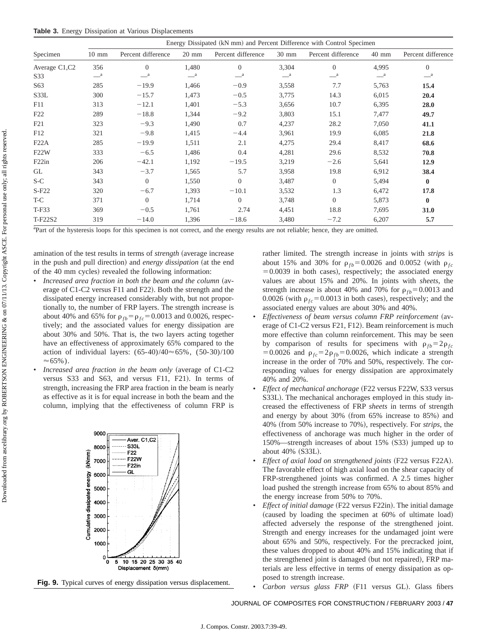|                    | Energy Dissipated (kN mm) and Percent Difference with Control Specimen |                       |                 |                       |                  |                    |                  |                    |  |  |  |
|--------------------|------------------------------------------------------------------------|-----------------------|-----------------|-----------------------|------------------|--------------------|------------------|--------------------|--|--|--|
| Specimen           | $10 \text{ mm}$                                                        | Percent difference    | $20 \text{ mm}$ | Percent difference    | $30 \text{ mm}$  | Percent difference | 40 mm            | Percent difference |  |  |  |
| Average C1,C2      | 356                                                                    | $\Omega$              | 1,480           | $\Omega$              | 3,304            | $\Omega$           | 4,995            | $\overline{0}$     |  |  |  |
| S33                | $-$ <sup>a</sup>                                                       | $\equiv$ <sup>a</sup> | $-{}^a$         | $\equiv$ <sup>a</sup> | $-$ <sup>a</sup> | $-{}^a$            | $-$ <sup>a</sup> | $-{}^a$            |  |  |  |
| S63                | 285                                                                    | $-19.9$               | 1,466           | $-0.9$                | 3,558            | 7.7                | 5,763            | 15.4               |  |  |  |
| S33L               | 300                                                                    | $-15.7$               | 1,473           | $-0.5$                | 3,775            | 14.3               | 6,015            | 20.4               |  |  |  |
| F11                | 313                                                                    | $-12.1$               | 1,401           | $-5.3$                | 3,656            | 10.7               | 6,395            | 28.0               |  |  |  |
| F <sub>22</sub>    | 289                                                                    | $-18.8$               | 1,344           | $-9.2$                | 3,803            | 15.1               | 7,477            | 49.7               |  |  |  |
| F21                | 323                                                                    | $-9.3$                | 1,490           | 0.7                   | 4,237            | 28.2               | 7,050            | 41.1               |  |  |  |
| F12                | 321                                                                    | $-9.8$                | 1,415           | $-4.4$                | 3,961            | 19.9               | 6,085            | 21.8               |  |  |  |
| F22A               | 285                                                                    | $-19.9$               | 1,511           | 2.1                   | 4,275            | 29.4               | 8,417            | 68.6               |  |  |  |
| F22W               | 333                                                                    | $-6.5$                | 1,486           | 0.4                   | 4,281            | 29.6               | 8,532            | 70.8               |  |  |  |
| F <sub>22</sub> in | 206                                                                    | $-42.1$               | 1,192           | $-19.5$               | 3,219            | $-2.6$             | 5,641            | 12.9               |  |  |  |
| GL                 | 343                                                                    | $-3.7$                | 1,565           | 5.7                   | 3,958            | 19.8               | 6,912            | 38.4               |  |  |  |
| S-C                | 343                                                                    | $\theta$              | 1,550           | $\overline{0}$        | 3,487            | $\theta$           | 5,494            | $\bf{0}$           |  |  |  |
| $S-F22$            | 320                                                                    | $-6.7$                | 1,393           | $-10.1$               | 3,532            | 1.3                | 6,472            | 17.8               |  |  |  |
| T-C                | 371                                                                    | $\theta$              | 1,714           | $\overline{0}$        | 3,748            | $\overline{0}$     | 5,873            | $\bf{0}$           |  |  |  |
| T-F33              | 369                                                                    | $-0.5$                | 1,761           | 2.74                  | 4,451            | 18.8               | 7,695            | 31.0               |  |  |  |
| T-F22S2            | 319                                                                    | $-14.0$               | 1,396           | $-18.6$               | 3,480            | $-7.2$             | 6,207            | 5.7                |  |  |  |

<sup>a</sup>Part of the hysteresis loops for this specimen is not correct, and the energy results are not reliable; hence, they are omitted.

amination of the test results in terms of *strength* (average increase in the push and pull direction) and *energy dissipation* (at the end of the 40 mm cycles) revealed the following information:

- Increased area fraction in both the beam and the column (average of C1-C2 versus F11 and F22). Both the strength and the dissipated energy increased considerably with, but not proportionally to, the number of FRP layers. The strength increase is about 40% and 65% for  $\rho_{fb} = \rho_{fc} = 0.0013$  and 0.0026, respectively; and the associated values for energy dissipation are about 30% and 50%. That is, the two layers acting together have an effectiveness of approximately 65% compared to the action of individual layers:  $(65-40)/40 \approx 65\%$ ,  $(50-30)/100$  $\approx 65\%$ ).
- *Increased area fraction in the beam only* (average of C1-C2 versus S33 and S63, and versus F11, F21). In terms of strength, increasing the FRP area fraction in the beam is nearly as effective as it is for equal increase in both the beam and the column, implying that the effectiveness of column FRP is





rather limited. The strength increase in joints with *strips* is about 15% and 30% for  $\rho_{fb} = 0.0026$  and 0.0052 (with  $\rho_{fc}$  $=0.0039$  in both cases), respectively; the associated energy values are about 15% and 20%. In joints with *sheets*, the strength increase is about 40% and 70% for  $\rho_{fb} = 0.0013$  and 0.0026 (with  $\rho_{fc}$ =0.0013 in both cases), respectively; and the associated energy values are about 30% and 40%.

- *Effectiveness of beam versus column FRP reinforcement* (average of C1-C2 versus F21, F12). Beam reinforcement is much more effective than column reinforcement. This may be seen by comparison of results for specimens with  $\rho_{fb} = 2\rho_{fc}$ =0.0026 and  $\rho_{fc}$ =2 $\rho_{fb}$ =0.0026, which indicate a strength increase in the order of 70% and 50%, respectively. The corresponding values for energy dissipation are approximately 40% and 20%.
- *Effect of mechanical anchorage* (F22 versus F22W, S33 versus S33L). The mechanical anchorages employed in this study increased the effectiveness of FRP *sheets* in terms of strength and energy by about  $30\%$  (from  $65\%$  increase to  $85\%$ ) and 40% (from 50% increase to 70%), respectively. For *strips*, the effectiveness of anchorage was much higher in the order of 150%—strength increases of about 15% (S33) jumped up to about 40% (S33L).
- *Effect of axial load on strengthened joints* (F22 versus F22A). The favorable effect of high axial load on the shear capacity of FRP-strengthened joints was confirmed. A 2.5 times higher load pushed the strength increase from 65% to about 85% and the energy increase from 50% to 70%.
- *Effect of initial damage* (F22 versus F22in). The initial damage (caused by loading the specimen at 60% of ultimate load) affected adversely the response of the strengthened joint. Strength and energy increases for the undamaged joint were about 65% and 50%, respectively. For the precracked joint, these values dropped to about 40% and 15% indicating that if the strengthened joint is damaged (but not repaired), FRP materials are less effective in terms of energy dissipation as opposed to strength increase.
- Carbon versus glass FRP (F11 versus GL). Glass fibers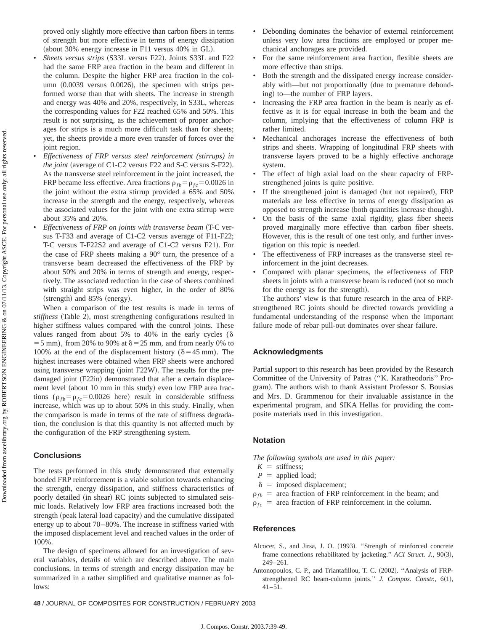proved only slightly more effective than carbon fibers in terms of strength but more effective in terms of energy dissipation (about 30% energy increase in F11 versus 40% in GL).

- *Sheets versus strips* (S33L versus F22). Joints S33L and F22 had the same FRP area fraction in the beam and different in the column. Despite the higher FRP area fraction in the column  $(0.0039$  versus  $0.0026$ ), the specimen with strips performed worse than that with sheets. The increase in strength and energy was 40% and 20%, respectively, in S33L, whereas the corresponding values for F22 reached 65% and 50%. This result is not surprising, as the achievement of proper anchorages for strips is a much more difficult task than for sheets; yet, the sheets provide a more even transfer of forces over the joint region.
- *Effectiveness of FRP versus steel reinforcement (stirrups) in the joint* (average of C1-C2 versus F22 and S-C versus S-F22). As the transverse steel reinforcement in the joint increased, the FRP became less effective. Area fractions  $\rho_{fb} = \rho_{fc} = 0.0026$  in the joint without the extra stirrup provided a 65% and 50% increase in the strength and the energy, respectively, whereas the associated values for the joint with one extra stirrup were about 35% and 20%.
- *Effectiveness of FRP on joints with transverse beam* (T-C versus T-F33 and average of C1-C2 versus average of F11-F22; T-C versus T-F22S2 and average of C1-C2 versus F21). For the case of FRP sheets making a 90° turn, the presence of a transverse beam decreased the effectiveness of the FRP by about 50% and 20% in terms of strength and energy, respectively. The associated reduction in the case of sheets combined with straight strips was even higher, in the order of 80%  $(\text{strength})$  and 85%  $(\text{energy})$ .

When a comparison of the test results is made in terms of *stiffness* (Table 2), most strengthening configurations resulted in higher stiffness values compared with the control joints. These values ranged from about 5% to 40% in the early cycles  $(\delta$  $=$  5 mm), from 20% to 90% at  $\delta$  = 25 mm, and from nearly 0% to 100% at the end of the displacement history ( $\delta$ =45 mm). The highest increases were obtained when FRP sheets were anchored using transverse wrapping (joint F22W). The results for the predamaged joint (F22in) demonstrated that after a certain displacement level (about 10 mm in this study) even low FRP area fractions ( $\rho_{fb} = \rho_{fc} = 0.0026$  here) result in considerable stiffness increase, which was up to about 50% in this study. Finally, when the comparison is made in terms of the rate of stiffness degradation, the conclusion is that this quantity is not affected much by the configuration of the FRP strengthening system.

## **Conclusions**

The tests performed in this study demonstrated that externally bonded FRP reinforcement is a viable solution towards enhancing the strength, energy dissipation, and stiffness characteristics of poorly detailed (in shear) RC joints subjected to simulated seismic loads. Relatively low FRP area fractions increased both the strength (peak lateral load capacity) and the cumulative dissipated energy up to about 70–80%. The increase in stiffness varied with the imposed displacement level and reached values in the order of 100%.

The design of specimens allowed for an investigation of several variables, details of which are described above. The main conclusions, in terms of strength and energy dissipation may be summarized in a rather simplified and qualitative manner as follows:

- Debonding dominates the behavior of external reinforcement unless very low area fractions are employed or proper mechanical anchorages are provided.
- For the same reinforcement area fraction, flexible sheets are more effective than strips.
- Both the strength and the dissipated energy increase considerably with—but not proportionally (due to premature debonding) to—the number of FRP layers.
- Increasing the FRP area fraction in the beam is nearly as effective as it is for equal increase in both the beam and the column, implying that the effectiveness of column FRP is rather limited.
- Mechanical anchorages increase the effectiveness of both strips and sheets. Wrapping of longitudinal FRP sheets with transverse layers proved to be a highly effective anchorage system.
- The effect of high axial load on the shear capacity of FRPstrengthened joints is quite positive.
- If the strengthened joint is damaged (but not repaired), FRP materials are less effective in terms of energy dissipation as opposed to strength increase (both quantities increase though).
- On the basis of the same axial rigidity, glass fiber sheets proved marginally more effective than carbon fiber sheets. However, this is the result of one test only, and further investigation on this topic is needed.
- The effectiveness of FRP increases as the transverse steel reinforcement in the joint decreases.
- Compared with planar specimens, the effectiveness of FRP sheets in joints with a transverse beam is reduced (not so much for the energy as for the strength).

The authors' view is that future research in the area of FRPstrengthened RC joints should be directed towards providing a fundamental understanding of the response when the important failure mode of rebar pull-out dominates over shear failure.

#### **Acknowledgments**

Partial support to this research has been provided by the Research Committee of the University of Patras ("K. Karatheodoris" Program). The authors wish to thank Assistant Professor S. Bousias and Mrs. D. Grammenou for their invaluable assistance in the experimental program, and SIKA Hellas for providing the composite materials used in this investigation.

#### **Notation**

*The following symbols are used in this paper:*

- $K =$  stiffness;
- $P =$  applied load;
- $\delta$  = imposed displacement;
- $\rho_{fb}$  = area fraction of FRP reinforcement in the beam; and
- $\rho_{fc}$  = area fraction of FRP reinforcement in the column.

#### **References**

- Alcocer, S., and Jirsa, J. O. (1993). "Strength of reinforced concrete frame connections rehabilitated by jacketing." ACI Struct. J., 90(3), 249–261.
- Antonopoulos, C. P., and Triantafillou, T. C. (2002). "Analysis of FRPstrengthened RC beam-column joints." *J. Compos. Constr.*, 6(1),  $41 - 51$

**48** / JOURNAL OF COMPOSITES FOR CONSTRUCTION / FEBRUARY 2003